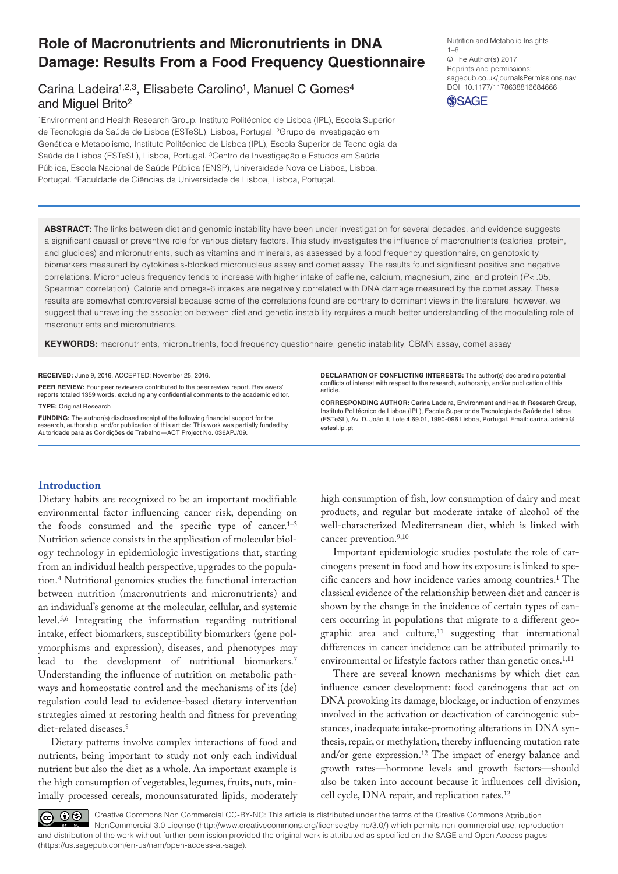# **Role of Macronutrients and Micronutrients in DNA Damage: Results From a Food Frequency Questionnaire**

# Carina Ladeira<sup>1,2,3</sup>, Elisabete Carolino<sup>1</sup>, Manuel C Gomes<sup>4</sup> and Miguel Brito2

1Environment and Health Research Group, Instituto Politécnico de Lisboa (IPL), Escola Superior de Tecnologia da Saúde de Lisboa (ESTeSL), Lisboa, Portugal. 2Grupo de Investigação em Genética e Metabolismo, Instituto Politécnico de Lisboa (IPL), Escola Superior de Tecnologia da Saúde de Lisboa (ESTeSL), Lisboa, Portugal. 3Centro de Investigação e Estudos em Saúde Pública, Escola Nacional de Saúde Pública (ENSP), Universidade Nova de Lisboa, Lisboa, Portugal. 4Faculdade de Ciências da Universidade de Lisboa, Lisboa, Portugal.

Nutrition and Metabolic Insights 1–8 © The Author(s) 2017 Reprints and permissions: [sagepub.co.uk/journalsPermissions.nav](https://uk.sagepub.com/en-gb/journals-permission) DOI: 10.1177/1178638816684666 **SSAGE** 

**Abstract:** The links between diet and genomic instability have been under investigation for several decades, and evidence suggests a significant causal or preventive role for various dietary factors. This study investigates the influence of macronutrients (calories, protein, and glucides) and micronutrients, such as vitamins and minerals, as assessed by a food frequency questionnaire, on genotoxicity biomarkers measured by cytokinesis-blocked micronucleus assay and comet assay. The results found significant positive and negative correlations. Micronucleus frequency tends to increase with higher intake of caffeine, calcium, magnesium, zinc, and protein (*P*<.05, Spearman correlation). Calorie and omega-6 intakes are negatively correlated with DNA damage measured by the comet assay. These results are somewhat controversial because some of the correlations found are contrary to dominant views in the literature; however, we suggest that unraveling the association between diet and genetic instability requires a much better understanding of the modulating role of macronutrients and micronutrients.

**Keywords:** macronutrients, micronutrients, food frequency questionnaire, genetic instability, CBMN assay, comet assay

**RECEIVED:** June 9, 2016. ACCEPTED: November 25, 2016.

PEER REVIEW: Four peer reviewers contributed to the peer review report. Reviewers reports totaled 1359 words, excluding any confidential comments to the academic editor.

**TYPE:** Original Research

**Funding:** The author(s) disclosed receipt of the following financial support for the research, authorship, and/or publication of this article: This work was partially funded by Autoridade para as Condições de Trabalho—ACT Project No. 036APJ/09.

# **Introduction**

Dietary habits are recognized to be an important modifiable environmental factor influencing cancer risk, depending on the foods consumed and the specific type of cancer.<sup>1-3</sup> Nutrition science consists in the application of molecular biology technology in epidemiologic investigations that, starting from an individual health perspective, upgrades to the population.4 Nutritional genomics studies the functional interaction between nutrition (macronutrients and micronutrients) and an individual's genome at the molecular, cellular, and systemic level.5,6 Integrating the information regarding nutritional intake, effect biomarkers, susceptibility biomarkers (gene polymorphisms and expression), diseases, and phenotypes may lead to the development of nutritional biomarkers.7 Understanding the influence of nutrition on metabolic pathways and homeostatic control and the mechanisms of its (de) regulation could lead to evidence-based dietary intervention strategies aimed at restoring health and fitness for preventing diet-related diseases.<sup>8</sup>

Dietary patterns involve complex interactions of food and nutrients, being important to study not only each individual nutrient but also the diet as a whole. An important example is the high consumption of vegetables, legumes, fruits, nuts, minimally processed cereals, monounsaturated lipids, moderately **Declaration of conflicting interests:** The author(s) declared no potential conflicts of interest with respect to the research, authorship, and/or publication of this article.

**Corresponding author:** Carina Ladeira, Environment and Health Research Group, Instituto Politécnico de Lisboa (IPL), Escola Superior de Tecnologia da Saúde de Lisboa (ESTeSL), Av. D. João II, Lote 4.69.01, 1990-096 Lisboa, Portugal. Email: [carina.ladeira@](mailto:carina.ladeira@estesl.ipl.pt) [estesl.ipl.pt](mailto:carina.ladeira@estesl.ipl.pt)

high consumption of fish, low consumption of dairy and meat products, and regular but moderate intake of alcohol of the well-characterized Mediterranean diet, which is linked with cancer prevention.<sup>9,10</sup>

Important epidemiologic studies postulate the role of carcinogens present in food and how its exposure is linked to specific cancers and how incidence varies among countries.1 The classical evidence of the relationship between diet and cancer is shown by the change in the incidence of certain types of cancers occurring in populations that migrate to a different geographic area and culture, $11$  suggesting that international differences in cancer incidence can be attributed primarily to environmental or lifestyle factors rather than genetic ones.<sup>1,11</sup>

There are several known mechanisms by which diet can influence cancer development: food carcinogens that act on DNA provoking its damage, blockage, or induction of enzymes involved in the activation or deactivation of carcinogenic substances, inadequate intake-promoting alterations in DNA synthesis, repair, or methylation, thereby influencing mutation rate and/or gene expression.12 The impact of energy balance and growth rates—hormone levels and growth factors—should also be taken into account because it influences cell division, cell cycle, DNA repair, and replication rates.<sup>12</sup>

<u>ල 0ම </u> Creative Commons Non Commercial CC-BY-NC: This article is distributed under the terms of the Creative Commons Attribution-NonCommercial 3.0 License (http://www.creativecommons.org/licenses/by-nc/3.0/) which permits non-commercial use, reproduction and distribution of the work without further permission provided the original work is attributed as specified on the SAGE and Open Access pages (https://us.sagepub.com/en-us/nam/open-access-at-sage).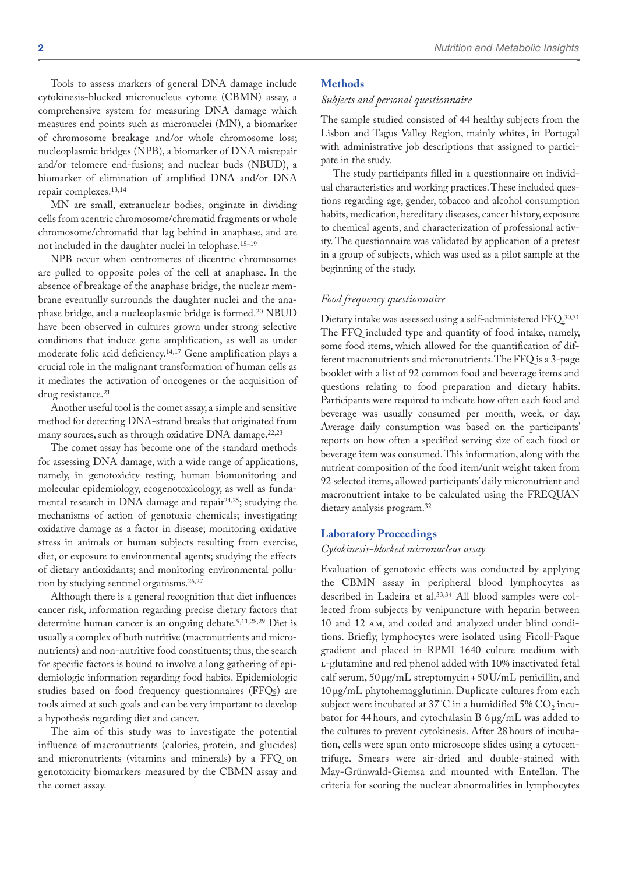Tools to assess markers of general DNA damage include cytokinesis-blocked micronucleus cytome (CBMN) assay, a comprehensive system for measuring DNA damage which measures end points such as micronuclei (MN), a biomarker of chromosome breakage and/or whole chromosome loss; nucleoplasmic bridges (NPB), a biomarker of DNA misrepair and/or telomere end-fusions; and nuclear buds (NBUD), a biomarker of elimination of amplified DNA and/or DNA repair complexes.13,14

MN are small, extranuclear bodies, originate in dividing cells from acentric chromosome/chromatid fragments or whole chromosome/chromatid that lag behind in anaphase, and are not included in the daughter nuclei in telophase.15–19

NPB occur when centromeres of dicentric chromosomes are pulled to opposite poles of the cell at anaphase. In the absence of breakage of the anaphase bridge, the nuclear membrane eventually surrounds the daughter nuclei and the anaphase bridge, and a nucleoplasmic bridge is formed.20 NBUD have been observed in cultures grown under strong selective conditions that induce gene amplification, as well as under moderate folic acid deficiency.14,17 Gene amplification plays a crucial role in the malignant transformation of human cells as it mediates the activation of oncogenes or the acquisition of drug resistance.<sup>21</sup>

Another useful tool is the comet assay, a simple and sensitive method for detecting DNA-strand breaks that originated from many sources, such as through oxidative DNA damage.<sup>22,23</sup>

The comet assay has become one of the standard methods for assessing DNA damage, with a wide range of applications, namely, in genotoxicity testing, human biomonitoring and molecular epidemiology, ecogenotoxicology, as well as fundamental research in DNA damage and repair<sup>24,25</sup>; studying the mechanisms of action of genotoxic chemicals; investigating oxidative damage as a factor in disease; monitoring oxidative stress in animals or human subjects resulting from exercise, diet, or exposure to environmental agents; studying the effects of dietary antioxidants; and monitoring environmental pollution by studying sentinel organisms.26,27

Although there is a general recognition that diet influences cancer risk, information regarding precise dietary factors that determine human cancer is an ongoing debate.<sup>9,11,28,29</sup> Diet is usually a complex of both nutritive (macronutrients and micronutrients) and non-nutritive food constituents; thus, the search for specific factors is bound to involve a long gathering of epidemiologic information regarding food habits. Epidemiologic studies based on food frequency questionnaires (FFQs) are tools aimed at such goals and can be very important to develop a hypothesis regarding diet and cancer.

The aim of this study was to investigate the potential influence of macronutrients (calories, protein, and glucides) and micronutrients (vitamins and minerals) by a FFQ on genotoxicity biomarkers measured by the CBMN assay and the comet assay.

# **Methods**

# *Subjects and personal questionnaire*

The sample studied consisted of 44 healthy subjects from the Lisbon and Tagus Valley Region, mainly whites, in Portugal with administrative job descriptions that assigned to participate in the study.

The study participants filled in a questionnaire on individual characteristics and working practices. These included questions regarding age, gender, tobacco and alcohol consumption habits, medication, hereditary diseases, cancer history, exposure to chemical agents, and characterization of professional activity. The questionnaire was validated by application of a pretest in a group of subjects, which was used as a pilot sample at the beginning of the study.

#### *Food frequency questionnaire*

Dietary intake was assessed using a self-administered FFQ.<sup>30,31</sup> The FFQ included type and quantity of food intake, namely, some food items, which allowed for the quantification of different macronutrients and micronutrients. The FFQ is a 3-page booklet with a list of 92 common food and beverage items and questions relating to food preparation and dietary habits. Participants were required to indicate how often each food and beverage was usually consumed per month, week, or day. Average daily consumption was based on the participants' reports on how often a specified serving size of each food or beverage item was consumed. This information, along with the nutrient composition of the food item/unit weight taken from 92 selected items, allowed participants' daily micronutrient and macronutrient intake to be calculated using the FREQUAN dietary analysis program.32

# **Laboratory Proceedings**

#### *Cytokinesis-blocked micronucleus assay*

Evaluation of genotoxic effects was conducted by applying the CBMN assay in peripheral blood lymphocytes as described in Ladeira et al.33,34 All blood samples were collected from subjects by venipuncture with heparin between 10 and 12 am, and coded and analyzed under blind conditions. Briefly, lymphocytes were isolated using Ficoll-Paque gradient and placed in RPMI 1640 culture medium with l-glutamine and red phenol added with 10% inactivated fetal calf serum, 50 µg/mL streptomycin + 50U/mL penicillin, and 10 µg/mL phytohemagglutinin. Duplicate cultures from each subject were incubated at 37°C in a humidified 5%  $CO<sub>2</sub>$  incubator for 44 hours, and cytochalasin B 6 µg/mL was added to the cultures to prevent cytokinesis. After 28 hours of incubation, cells were spun onto microscope slides using a cytocentrifuge. Smears were air-dried and double-stained with May-Grünwald-Giemsa and mounted with Entellan. The criteria for scoring the nuclear abnormalities in lymphocytes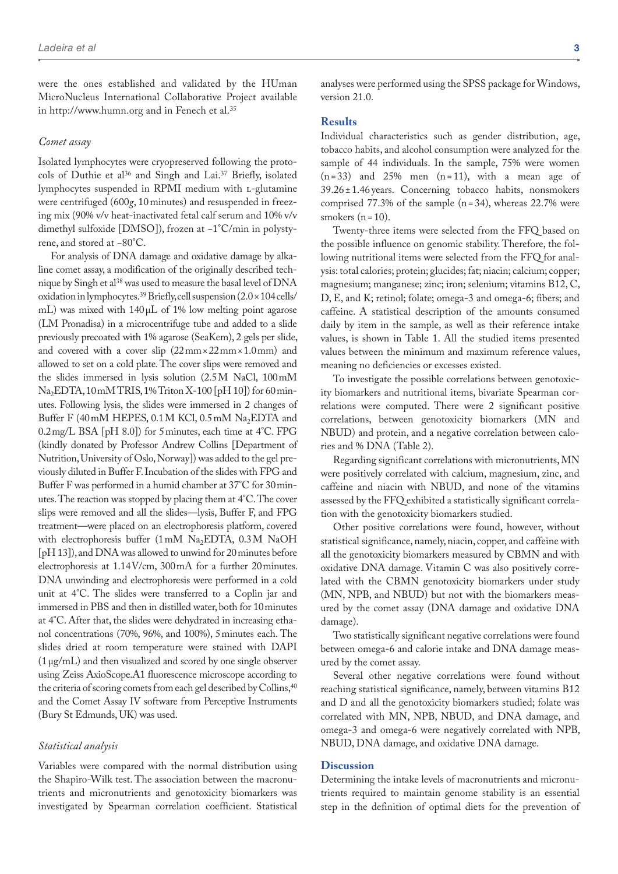were the ones established and validated by the HUman MicroNucleus International Collaborative Project available in <http://www.humn.org> and in Fenech et al.35

#### *Comet assay*

Isolated lymphocytes were cryopreserved following the protocols of Duthie et al<sup>36</sup> and Singh and Lai.<sup>37</sup> Briefly, isolated lymphocytes suspended in RPMI medium with l-glutamine were centrifuged (600g, 10 minutes) and resuspended in freezing mix (90% v/v heat-inactivated fetal calf serum and 10% v/v dimethyl sulfoxide [DMSO]), frozen at −1°C/min in polystyrene, and stored at −80°C.

For analysis of DNA damage and oxidative damage by alkaline comet assay, a modification of the originally described technique by Singh et al38 was used to measure the basal level of DNA oxidation in lymphocytes.39 Briefly, cell suspension (2.0×104cells/ mL) was mixed with  $140 \mu L$  of 1% low melting point agarose (LM Pronadisa) in a microcentrifuge tube and added to a slide previously precoated with 1% agarose (SeaKem), 2 gels per slide, and covered with a cover slip  $(22 \text{ mm} \times 22 \text{ mm} \times 1.0 \text{ mm})$  and allowed to set on a cold plate. The cover slips were removed and the slides immersed in lysis solution (2.5M NaCl, 100mM Na<sub>2</sub>EDTA, 10mM TRIS, 1% Triton X-100 [pH 10]) for 60 minutes. Following lysis, the slides were immersed in 2 changes of Buffer F (40mM HEPES,  $0.1$  M KCl,  $0.5$  mM Na<sub>2</sub>EDTA and 0.2mg/L BSA [pH 8.0]) for 5minutes, each time at 4°C. FPG (kindly donated by Professor Andrew Collins [Department of Nutrition, University of Oslo, Norway]) was added to the gel previously diluted in Buffer F. Incubation of the slides with FPG and Buffer F was performed in a humid chamber at 37°C for 30minutes. The reaction was stopped by placing them at 4°C. The cover slips were removed and all the slides—lysis, Buffer F, and FPG treatment—were placed on an electrophoresis platform, covered with electrophoresis buffer (1mM Na<sub>2</sub>EDTA, 0.3M NaOH [pH 13]), and DNA was allowed to unwind for 20 minutes before electrophoresis at 1.14V/cm, 300mA for a further 20minutes. DNA unwinding and electrophoresis were performed in a cold unit at 4°C. The slides were transferred to a Coplin jar and immersed in PBS and then in distilled water, both for 10minutes at 4°C. After that, the slides were dehydrated in increasing ethanol concentrations (70%, 96%, and 100%), 5minutes each. The slides dried at room temperature were stained with DAPI (1µg/mL) and then visualized and scored by one single observer using Zeiss AxioScope.A1 fluorescence microscope according to the criteria of scoring comets from each gel described by Collins, 40 and the Comet Assay IV software from Perceptive Instruments (Bury St Edmunds, UK) was used.

### *Statistical analysis*

Variables were compared with the normal distribution using the Shapiro-Wilk test. The association between the macronutrients and micronutrients and genotoxicity biomarkers was investigated by Spearman correlation coefficient. Statistical

analyses were performed using the SPSS package for Windows, version 21.0.

### **Results**

Individual characteristics such as gender distribution, age, tobacco habits, and alcohol consumption were analyzed for the sample of 44 individuals. In the sample, 75% were women  $(n=33)$  and 25% men  $(n=11)$ , with a mean age of 39.26±1.46years. Concerning tobacco habits, nonsmokers comprised 77.3% of the sample (n=34), whereas 22.7% were smokers  $(n=10)$ .

Twenty-three items were selected from the FFQ based on the possible influence on genomic stability. Therefore, the following nutritional items were selected from the FFQ for analysis: total calories; protein; glucides; fat; niacin; calcium; copper; magnesium; manganese; zinc; iron; selenium; vitamins B12, C, D, E, and K; retinol; folate; omega-3 and omega-6; fibers; and caffeine. A statistical description of the amounts consumed daily by item in the sample, as well as their reference intake values, is shown in Table 1. All the studied items presented values between the minimum and maximum reference values, meaning no deficiencies or excesses existed.

To investigate the possible correlations between genotoxicity biomarkers and nutritional items, bivariate Spearman correlations were computed. There were 2 significant positive correlations, between genotoxicity biomarkers (MN and NBUD) and protein, and a negative correlation between calories and % DNA (Table 2).

Regarding significant correlations with micronutrients, MN were positively correlated with calcium, magnesium, zinc, and caffeine and niacin with NBUD, and none of the vitamins assessed by the FFQ exhibited a statistically significant correlation with the genotoxicity biomarkers studied.

Other positive correlations were found, however, without statistical significance, namely, niacin, copper, and caffeine with all the genotoxicity biomarkers measured by CBMN and with oxidative DNA damage. Vitamin C was also positively correlated with the CBMN genotoxicity biomarkers under study (MN, NPB, and NBUD) but not with the biomarkers measured by the comet assay (DNA damage and oxidative DNA damage).

Two statistically significant negative correlations were found between omega-6 and calorie intake and DNA damage measured by the comet assay.

Several other negative correlations were found without reaching statistical significance, namely, between vitamins B12 and D and all the genotoxicity biomarkers studied; folate was correlated with MN, NPB, NBUD, and DNA damage, and omega-3 and omega-6 were negatively correlated with NPB, NBUD, DNA damage, and oxidative DNA damage.

# **Discussion**

Determining the intake levels of macronutrients and micronutrients required to maintain genome stability is an essential step in the definition of optimal diets for the prevention of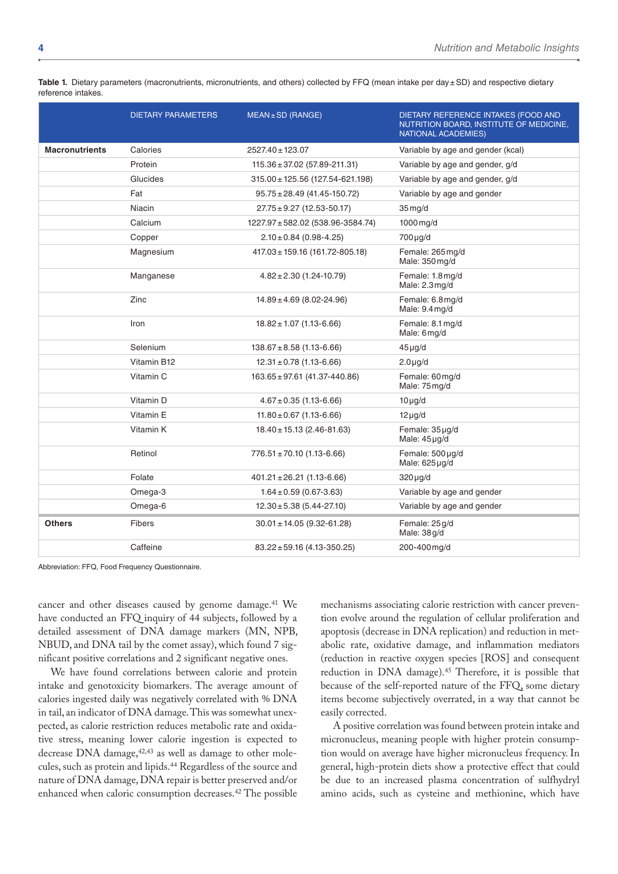|                       | <b>DIETARY PARAMETERS</b> | $MEAN \pm SD$ (RANGE)             | DIETARY REFERENCE INTAKES (FOOD AND<br>NUTRITION BOARD, INSTITUTE OF MEDICINE,<br><b>NATIONAL ACADEMIES)</b> |
|-----------------------|---------------------------|-----------------------------------|--------------------------------------------------------------------------------------------------------------|
| <b>Macronutrients</b> | Calories                  | $2527.40 \pm 123.07$              | Variable by age and gender (kcal)                                                                            |
|                       | Protein                   | $115.36 \pm 37.02$ (57.89-211.31) | Variable by age and gender, g/d                                                                              |
|                       | Glucides                  | 315.00 ± 125.56 (127.54-621.198)  | Variable by age and gender, g/d                                                                              |
|                       | Fat                       | $95.75 \pm 28.49$ (41.45-150.72)  | Variable by age and gender                                                                                   |
|                       | Niacin                    | $27.75 \pm 9.27$ (12.53-50.17)    | $35 \,\mathrm{mq/d}$                                                                                         |
|                       | Calcium                   | 1227.97 ± 582.02 (538.96-3584.74) | 1000 mg/d                                                                                                    |
|                       | Copper                    | $2.10 \pm 0.84$ (0.98-4.25)       | 700 µg/d                                                                                                     |
|                       | Magnesium                 | 417.03 ± 159.16 (161.72-805.18)   | Female: 265 mg/d<br>Male: 350 mg/d                                                                           |
|                       | Manganese                 | $4.82 \pm 2.30$ (1.24-10.79)      | Female: 1.8 mg/d<br>Male: 2.3 mg/d                                                                           |
|                       | Zinc                      | $14.89 \pm 4.69$ (8.02-24.96)     | Female: 6.8 mg/d<br>Male: 9.4 mg/d                                                                           |
|                       | Iron                      | $18.82 \pm 1.07$ (1.13-6.66)      | Female: 8.1 mg/d<br>Male: 6 mg/d                                                                             |
|                       | Selenium                  | $138.67 \pm 8.58$ (1.13-6.66)     | $45 \mu g/d$                                                                                                 |
|                       | Vitamin B12               | $12.31 \pm 0.78$ (1.13-6.66)      | $2.0 \mu g/d$                                                                                                |
|                       | Vitamin C                 | $163.65 \pm 97.61$ (41.37-440.86) | Female: 60 mg/d<br>Male: 75 mg/d                                                                             |
|                       | Vitamin D                 | $4.67 \pm 0.35$ (1.13-6.66)       | $10 \mu g/d$                                                                                                 |
|                       | Vitamin E                 | $11.80 \pm 0.67$ (1.13-6.66)      | $12 \mu g/d$                                                                                                 |
|                       | Vitamin K                 | $18.40 \pm 15.13$ (2.46-81.63)    | Female: 35 µg/d<br>Male: 45 µg/d                                                                             |
|                       | Retinol                   | $776.51 \pm 70.10$ (1.13-6.66)    | Female: 500 µg/d<br>Male: 625 µg/d                                                                           |
|                       | Folate                    | $401.21 \pm 26.21$ (1.13-6.66)    | $320 \mu g/d$                                                                                                |
|                       | Omega-3                   | $1.64 \pm 0.59$ (0.67-3.63)       | Variable by age and gender                                                                                   |
|                       | Omega-6                   | $12.30 \pm 5.38$ (5.44-27.10)     | Variable by age and gender                                                                                   |
| <b>Others</b>         | <b>Fibers</b>             | $30.01 \pm 14.05 (9.32 - 61.28)$  | Female: 25 g/d<br>Male: 38 g/d                                                                               |
|                       | Caffeine                  | $83.22 \pm 59.16$ (4.13-350.25)   | 200-400 mg/d                                                                                                 |

Table 1. Dietary parameters (macronutrients, micronutrients, and others) collected by FFQ (mean intake per day±SD) and respective dietary reference intakes.

Abbreviation: FFQ, Food Frequency Questionnaire.

cancer and other diseases caused by genome damage.<sup>41</sup> We have conducted an FFQ inquiry of 44 subjects, followed by a detailed assessment of DNA damage markers (MN, NPB, NBUD, and DNA tail by the comet assay), which found 7 significant positive correlations and 2 significant negative ones.

We have found correlations between calorie and protein intake and genotoxicity biomarkers. The average amount of calories ingested daily was negatively correlated with % DNA in tail, an indicator of DNA damage. This was somewhat unexpected, as calorie restriction reduces metabolic rate and oxidative stress, meaning lower calorie ingestion is expected to decrease DNA damage,<sup>42,43</sup> as well as damage to other molecules, such as protein and lipids.44 Regardless of the source and nature of DNA damage, DNA repair is better preserved and/or enhanced when caloric consumption decreases.42 The possible

mechanisms associating calorie restriction with cancer prevention evolve around the regulation of cellular proliferation and apoptosis (decrease in DNA replication) and reduction in metabolic rate, oxidative damage, and inflammation mediators (reduction in reactive oxygen species [ROS] and consequent reduction in DNA damage).45 Therefore, it is possible that because of the self-reported nature of the FFQ, some dietary items become subjectively overrated, in a way that cannot be easily corrected.

A positive correlation was found between protein intake and micronucleus, meaning people with higher protein consumption would on average have higher micronucleus frequency. In general, high-protein diets show a protective effect that could be due to an increased plasma concentration of sulfhydryl amino acids, such as cysteine and methionine, which have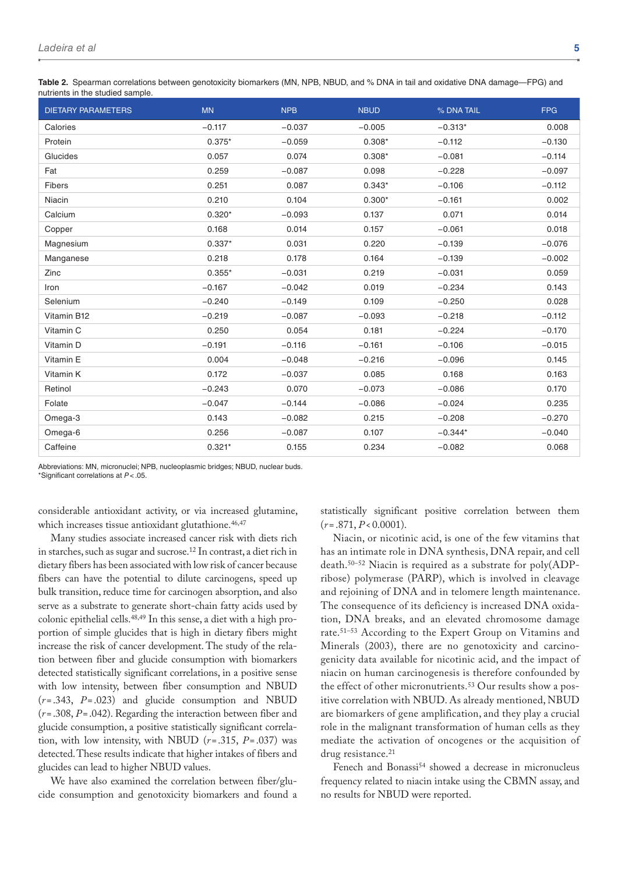**Table 2.** Spearman correlations between genotoxicity biomarkers (MN, NPB, NBUD, and % DNA in tail and oxidative DNA damage—FPG) and nutrients in the studied sample.

| <b>DIETARY PARAMETERS</b> | <b>MN</b> | <b>NPB</b> | <b>NBUD</b> | % DNA TAIL | <b>FPG</b> |
|---------------------------|-----------|------------|-------------|------------|------------|
| Calories                  | $-0.117$  | $-0.037$   | $-0.005$    | $-0.313*$  | 0.008      |
| Protein                   | $0.375*$  | $-0.059$   | $0.308*$    | $-0.112$   | $-0.130$   |
| Glucides                  | 0.057     | 0.074      | $0.308*$    | $-0.081$   | $-0.114$   |
| Fat                       | 0.259     | $-0.087$   | 0.098       | $-0.228$   | $-0.097$   |
| <b>Fibers</b>             | 0.251     | 0.087      | $0.343*$    | $-0.106$   | $-0.112$   |
| Niacin                    | 0.210     | 0.104      | $0.300*$    | $-0.161$   | 0.002      |
| Calcium                   | $0.320*$  | $-0.093$   | 0.137       | 0.071      | 0.014      |
| Copper                    | 0.168     | 0.014      | 0.157       | $-0.061$   | 0.018      |
| Magnesium                 | $0.337*$  | 0.031      | 0.220       | $-0.139$   | $-0.076$   |
| Manganese                 | 0.218     | 0.178      | 0.164       | $-0.139$   | $-0.002$   |
| Zinc                      | $0.355*$  | $-0.031$   | 0.219       | $-0.031$   | 0.059      |
| Iron                      | $-0.167$  | $-0.042$   | 0.019       | $-0.234$   | 0.143      |
| Selenium                  | $-0.240$  | $-0.149$   | 0.109       | $-0.250$   | 0.028      |
| Vitamin B12               | $-0.219$  | $-0.087$   | $-0.093$    | $-0.218$   | $-0.112$   |
| Vitamin C                 | 0.250     | 0.054      | 0.181       | $-0.224$   | $-0.170$   |
| Vitamin D                 | $-0.191$  | $-0.116$   | $-0.161$    | $-0.106$   | $-0.015$   |
| Vitamin E                 | 0.004     | $-0.048$   | $-0.216$    | $-0.096$   | 0.145      |
| Vitamin K                 | 0.172     | $-0.037$   | 0.085       | 0.168      | 0.163      |
| Retinol                   | $-0.243$  | 0.070      | $-0.073$    | $-0.086$   | 0.170      |
| Folate                    | $-0.047$  | $-0.144$   | $-0.086$    | $-0.024$   | 0.235      |
| Omega-3                   | 0.143     | $-0.082$   | 0.215       | $-0.208$   | $-0.270$   |
| Omega-6                   | 0.256     | $-0.087$   | 0.107       | $-0.344*$  | $-0.040$   |
| Caffeine                  | $0.321*$  | 0.155      | 0.234       | $-0.082$   | 0.068      |

Abbreviations: MN, micronuclei; NPB, nucleoplasmic bridges; NBUD, nuclear buds. \*Significant correlations at *P*<.05.

considerable antioxidant activity, or via increased glutamine, which increases tissue antioxidant glutathione.<sup>46,47</sup>

Many studies associate increased cancer risk with diets rich in starches, such as sugar and sucrose.12 In contrast, a diet rich in dietary fibers has been associated with low risk of cancer because fibers can have the potential to dilute carcinogens, speed up bulk transition, reduce time for carcinogen absorption, and also serve as a substrate to generate short-chain fatty acids used by colonic epithelial cells.48,49 In this sense, a diet with a high proportion of simple glucides that is high in dietary fibers might increase the risk of cancer development. The study of the relation between fiber and glucide consumption with biomarkers detected statistically significant correlations, in a positive sense with low intensity, between fiber consumption and NBUD (*r*=.343, *P*=.023) and glucide consumption and NBUD (*r*=.308, *P*=.042). Regarding the interaction between fiber and glucide consumption, a positive statistically significant correlation, with low intensity, with NBUD (*r*=.315, *P*=.037) was detected. These results indicate that higher intakes of fibers and glucides can lead to higher NBUD values.

We have also examined the correlation between fiber/glucide consumption and genotoxicity biomarkers and found a statistically significant positive correlation between them (*r*=.871, *P*< 0.0001).

Niacin, or nicotinic acid, is one of the few vitamins that has an intimate role in DNA synthesis, DNA repair, and cell death.50–52 Niacin is required as a substrate for poly(ADPribose) polymerase (PARP), which is involved in cleavage and rejoining of DNA and in telomere length maintenance. The consequence of its deficiency is increased DNA oxidation, DNA breaks, and an elevated chromosome damage rate.51–53 According to the Expert Group on Vitamins and Minerals (2003), there are no genotoxicity and carcinogenicity data available for nicotinic acid, and the impact of niacin on human carcinogenesis is therefore confounded by the effect of other micronutrients.<sup>53</sup> Our results show a positive correlation with NBUD. As already mentioned, NBUD are biomarkers of gene amplification, and they play a crucial role in the malignant transformation of human cells as they mediate the activation of oncogenes or the acquisition of drug resistance.<sup>21</sup>

Fenech and Bonassi<sup>54</sup> showed a decrease in micronucleus frequency related to niacin intake using the CBMN assay, and no results for NBUD were reported.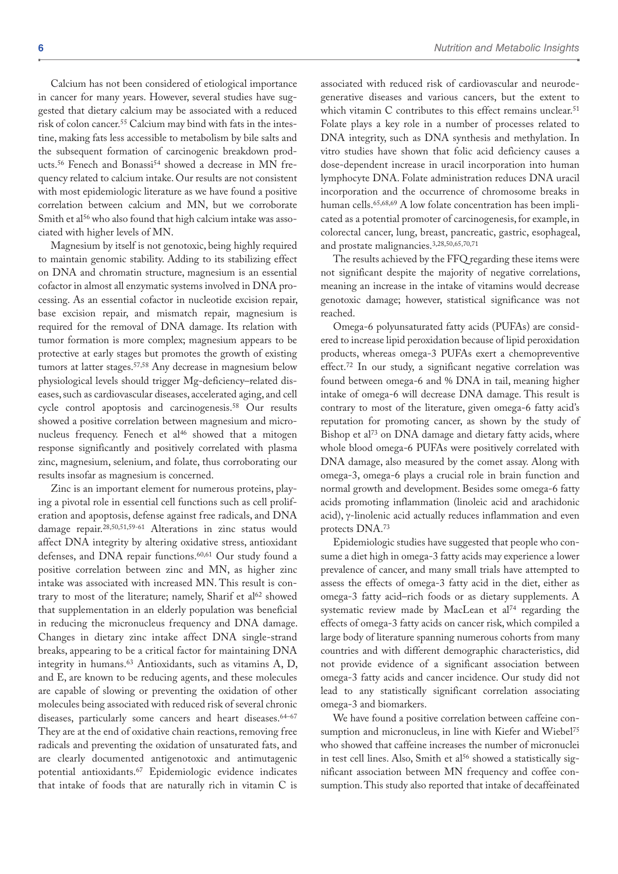Calcium has not been considered of etiological importance in cancer for many years. However, several studies have suggested that dietary calcium may be associated with a reduced risk of colon cancer.55 Calcium may bind with fats in the intestine, making fats less accessible to metabolism by bile salts and the subsequent formation of carcinogenic breakdown products.<sup>56</sup> Fenech and Bonassi<sup>54</sup> showed a decrease in MN frequency related to calcium intake. Our results are not consistent with most epidemiologic literature as we have found a positive correlation between calcium and MN, but we corroborate Smith et al<sup>56</sup> who also found that high calcium intake was associated with higher levels of MN.

Magnesium by itself is not genotoxic, being highly required to maintain genomic stability. Adding to its stabilizing effect on DNA and chromatin structure, magnesium is an essential cofactor in almost all enzymatic systems involved in DNA processing. As an essential cofactor in nucleotide excision repair, base excision repair, and mismatch repair, magnesium is required for the removal of DNA damage. Its relation with tumor formation is more complex; magnesium appears to be protective at early stages but promotes the growth of existing tumors at latter stages.57,58 Any decrease in magnesium below physiological levels should trigger Mg-deficiency–related diseases, such as cardiovascular diseases, accelerated aging, and cell cycle control apoptosis and carcinogenesis.58 Our results showed a positive correlation between magnesium and micronucleus frequency. Fenech et al<sup>46</sup> showed that a mitogen response significantly and positively correlated with plasma zinc, magnesium, selenium, and folate, thus corroborating our results insofar as magnesium is concerned.

Zinc is an important element for numerous proteins, playing a pivotal role in essential cell functions such as cell proliferation and apoptosis, defense against free radicals, and DNA damage repair.28,50,51,59-61 Alterations in zinc status would affect DNA integrity by altering oxidative stress, antioxidant defenses, and DNA repair functions.<sup>60,61</sup> Our study found a positive correlation between zinc and MN, as higher zinc intake was associated with increased MN. This result is contrary to most of the literature; namely, Sharif et al<sup>62</sup> showed that supplementation in an elderly population was beneficial in reducing the micronucleus frequency and DNA damage. Changes in dietary zinc intake affect DNA single-strand breaks, appearing to be a critical factor for maintaining DNA integrity in humans.63 Antioxidants, such as vitamins A, D, and E, are known to be reducing agents, and these molecules are capable of slowing or preventing the oxidation of other molecules being associated with reduced risk of several chronic diseases, particularly some cancers and heart diseases.<sup>64-67</sup> They are at the end of oxidative chain reactions, removing free radicals and preventing the oxidation of unsaturated fats, and are clearly documented antigenotoxic and antimutagenic potential antioxidants.67 Epidemiologic evidence indicates that intake of foods that are naturally rich in vitamin C is

associated with reduced risk of cardiovascular and neurodegenerative diseases and various cancers, but the extent to which vitamin C contributes to this effect remains unclear.<sup>51</sup> Folate plays a key role in a number of processes related to DNA integrity, such as DNA synthesis and methylation. In vitro studies have shown that folic acid deficiency causes a dose-dependent increase in uracil incorporation into human lymphocyte DNA. Folate administration reduces DNA uracil incorporation and the occurrence of chromosome breaks in human cells.65,68,69 A low folate concentration has been implicated as a potential promoter of carcinogenesis, for example, in colorectal cancer, lung, breast, pancreatic, gastric, esophageal, and prostate malignancies.3,28,50,65,70,71

The results achieved by the FFQ regarding these items were not significant despite the majority of negative correlations, meaning an increase in the intake of vitamins would decrease genotoxic damage; however, statistical significance was not reached.

Omega-6 polyunsaturated fatty acids (PUFAs) are considered to increase lipid peroxidation because of lipid peroxidation products, whereas omega-3 PUFAs exert a chemopreventive effect.72 In our study, a significant negative correlation was found between omega-6 and % DNA in tail, meaning higher intake of omega-6 will decrease DNA damage. This result is contrary to most of the literature, given omega-6 fatty acid's reputation for promoting cancer, as shown by the study of Bishop et al<sup>73</sup> on DNA damage and dietary fatty acids, where whole blood omega-6 PUFAs were positively correlated with DNA damage, also measured by the comet assay. Along with omega-3, omega-6 plays a crucial role in brain function and normal growth and development. Besides some omega-6 fatty acids promoting inflammation (linoleic acid and arachidonic acid), γ-linolenic acid actually reduces inflammation and even protects DNA.73

Epidemiologic studies have suggested that people who consume a diet high in omega-3 fatty acids may experience a lower prevalence of cancer, and many small trials have attempted to assess the effects of omega-3 fatty acid in the diet, either as omega-3 fatty acid–rich foods or as dietary supplements. A systematic review made by MacLean et al<sup>74</sup> regarding the effects of omega-3 fatty acids on cancer risk, which compiled a large body of literature spanning numerous cohorts from many countries and with different demographic characteristics, did not provide evidence of a significant association between omega-3 fatty acids and cancer incidence. Our study did not lead to any statistically significant correlation associating omega-3 and biomarkers.

We have found a positive correlation between caffeine consumption and micronucleus, in line with Kiefer and Wiebel<sup>75</sup> who showed that caffeine increases the number of micronuclei in test cell lines. Also, Smith et al<sup>56</sup> showed a statistically significant association between MN frequency and coffee consumption. This study also reported that intake of decaffeinated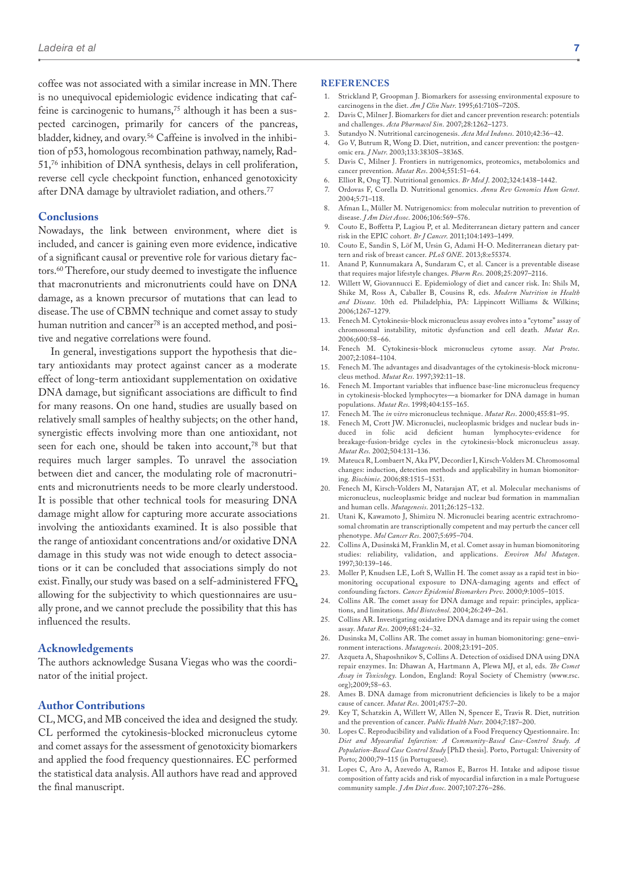coffee was not associated with a similar increase in MN. There is no unequivocal epidemiologic evidence indicating that caffeine is carcinogenic to humans,<sup>75</sup> although it has been a suspected carcinogen, primarily for cancers of the pancreas, bladder, kidney, and ovary.56 Caffeine is involved in the inhibition of p53, homologous recombination pathway, namely, Rad-51,76 inhibition of DNA synthesis, delays in cell proliferation, reverse cell cycle checkpoint function, enhanced genotoxicity after DNA damage by ultraviolet radiation, and others.<sup>77</sup>

# **Conclusions**

Nowadays, the link between environment, where diet is included, and cancer is gaining even more evidence, indicative of a significant causal or preventive role for various dietary factors.60 Therefore, our study deemed to investigate the influence that macronutrients and micronutrients could have on DNA damage, as a known precursor of mutations that can lead to disease. The use of CBMN technique and comet assay to study human nutrition and cancer<sup>78</sup> is an accepted method, and positive and negative correlations were found.

In general, investigations support the hypothesis that dietary antioxidants may protect against cancer as a moderate effect of long-term antioxidant supplementation on oxidative DNA damage, but significant associations are difficult to find for many reasons. On one hand, studies are usually based on relatively small samples of healthy subjects; on the other hand, synergistic effects involving more than one antioxidant, not seen for each one, should be taken into account,78 but that requires much larger samples. To unravel the association between diet and cancer, the modulating role of macronutrients and micronutrients needs to be more clearly understood. It is possible that other technical tools for measuring DNA damage might allow for capturing more accurate associations involving the antioxidants examined. It is also possible that the range of antioxidant concentrations and/or oxidative DNA damage in this study was not wide enough to detect associations or it can be concluded that associations simply do not exist. Finally, our study was based on a self-administered FFQ, allowing for the subjectivity to which questionnaires are usually prone, and we cannot preclude the possibility that this has influenced the results.

#### **Acknowledgements**

The authors acknowledge Susana Viegas who was the coordinator of the initial project.

# **Author Contributions**

CL, MCG, and MB conceived the idea and designed the study. CL performed the cytokinesis-blocked micronucleus cytome and comet assays for the assessment of genotoxicity biomarkers and applied the food frequency questionnaires. EC performed the statistical data analysis. All authors have read and approved the final manuscript.

#### **References**

- 1. Strickland P, Groopman J. Biomarkers for assessing environmental exposure to carcinogens in the diet. *Am J Clin Nutr*. 1995;61:710S–720S.
- 2. Davis C, Milner J. Biomarkers for diet and cancer prevention research: potentials and challenges. *Acta Pharmacol Sin*. 2007;28:1262–1273.
- 3. Sutandyo N. Nutritional carcinogenesis. *Acta Med Indones*. 2010;42:36–42.
- Go V, Butrum R, Wong D. Diet, nutrition, and cancer prevention: the postgenomic era. *J Nutr*. 2003;133:3830S–3836S.
- 5. Davis C, Milner J. Frontiers in nutrigenomics, proteomics, metabolomics and cancer prevention. *Mutat Res*. 2004;551:51–64.
- 6. Elliot R, Ong TJ. Nutritional genomics. *Br Med J*. 2002;324:1438–1442.
- 7. Ordovas F, Corella D. Nutritional genomics. *Annu Rev Genomics Hum Genet*. 2004;5:71–118.
- 8. Afman L, Müller M. Nutrigenomics: from molecular nutrition to prevention of disease. *J Am Diet Assoc*. 2006;106:569–576.
- 9. Couto E, Boffetta P, Lagiou P, et al. Mediterranean dietary pattern and cancer risk in the EPIC cohort. *Br J Cancer*. 2011;104:1493–1499.
- 10. Couto E, Sandin S, Löf M, Ursin G, Adami H-O. Mediterranean dietary pattern and risk of breast cancer. *PLoS ONE*. 2013;8:e55374.
- 11. Anand P, Kunnumakara A, Sundaram C, et al. Cancer is a preventable disease that requires major lifestyle changes. *Pharm Res*. 2008;25:2097–2116.
- 12. Willett W, Giovannucci E. Epidemiology of diet and cancer risk. In: Shils M, Shike M, Ross A, Caballer B, Cousins R, eds. *Modern Nutrition in Health and Disease*. 10th ed. Philadelphia, PA: Lippincott Williams & Wilkins; 2006;1267–1279.
- 13. Fenech M. Cytokinesis-block micronucleus assay evolves into a "cytome" assay of chromosomal instability, mitotic dysfunction and cell death. *Mutat Res*. 2006;600:58–66.
- 14. Fenech M. Cytokinesis-block micronucleus cytome assay. *Nat Protoc*. 2007;2:1084–1104.
- 15. Fenech M. The advantages and disadvantages of the cytokinesis-block micronucleus method. *Mutat Res*. 1997;392:11–18.
- 16. Fenech M. Important variables that influence base-line micronucleus frequency in cytokinesis-blocked lymphocytes—a biomarker for DNA damage in human populations. *Mutat Res*. 1998;404:155–165.
- 17. Fenech M. The *in vitro* micronucleus technique. *Mutat Res*. 2000;455:81–95.
- 18. Fenech M, Crott JW. Micronuclei, nucleoplasmic bridges and nuclear buds induced in folic acid deficient human lymphocytes-evidence for breakage-fusion-bridge cycles in the cytokinesis-block micronucleus assay. *Mutat Res*. 2002;504:131–136.
- 19. Mateuca R, Lombaert N, Aka PV, Decordier I, Kirsch-Volders M. Chromosomal changes: induction, detection methods and applicability in human biomonitoring. *Biochimie*. 2006;88:1515–1531.
- 20. Fenech M, Kirsch-Volders M, Natarajan AT, et al. Molecular mechanisms of micronucleus, nucleoplasmic bridge and nuclear bud formation in mammalian and human cells. *Mutagenesis*. 2011;26:125–132.
- 21. Utani K, Kawamoto J, Shimizu N. Micronuclei bearing acentric extrachromosomal chromatin are transcriptionally competent and may perturb the cancer cell phenotype. *Mol Cancer Res*. 2007;5:695–704.
- 22. Collins A, Dusinská M, Franklin M, et al. Comet assay in human biomonitoring studies: reliability, validation, and applications. *Environ Mol Mutagen*. 1997;30:139–146.
- 23. Moller P, Knudsen LE, Loft S, Wallin H. The comet assay as a rapid test in biomonitoring occupational exposure to DNA-damaging agents and effect of confounding factors. *Cancer Epidemiol Biomarkers Prev*. 2000;9:1005–1015.
- 24. Collins AR. The comet assay for DNA damage and repair: principles, applications, and limitations. *Mol Biotechnol*. 2004;26:249–261.
- 25. Collins AR. Investigating oxidative DNA damage and its repair using the comet assay. *Mutat Res*. 2009;681:24–32.
- 26. Dusinska M, Collins AR. The comet assay in human biomonitoring: gene–environment interactions. *Mutagenesis*. 2008;23:191–205.
- 27. Azqueta A, Shaposhnikov S, Collins A. Detection of oxidised DNA using DNA repair enzymes. In: Dhawan A, Hartmann A, Plewa MJ, et al, eds. *The Comet Assay in Toxicology*. London, England: Royal Society of Chemistry [\(www.rsc.](www.rsc.org) [org\)](www.rsc.org);2009;58–63.
- 28. Ames B. DNA damage from micronutrient deficiencies is likely to be a major cause of cancer. *Mutat Res*. 2001;475:7–20.
- 29. Key T, Schatzkin A, Willett W, Allen N, Spencer E, Travis R. Diet, nutrition and the prevention of cancer. *Public Health Nutr*. 2004;7:187–200.
- Lopes C. Reproducibility and validation of a Food Frequency Questionnaire. In: *Diet and Myocardial Infarction: A Community-Based Case-Control Study. A Population-Based Case Control Study* [PhD thesis]. Porto, Portugal: University of Porto; 2000;79–115 (in Portuguese).
- 31. Lopes C, Aro A, Azevedo A, Ramos E, Barros H. Intake and adipose tissue composition of fatty acids and risk of myocardial infarction in a male Portuguese community sample. *J Am Diet Assoc*. 2007;107:276–286.